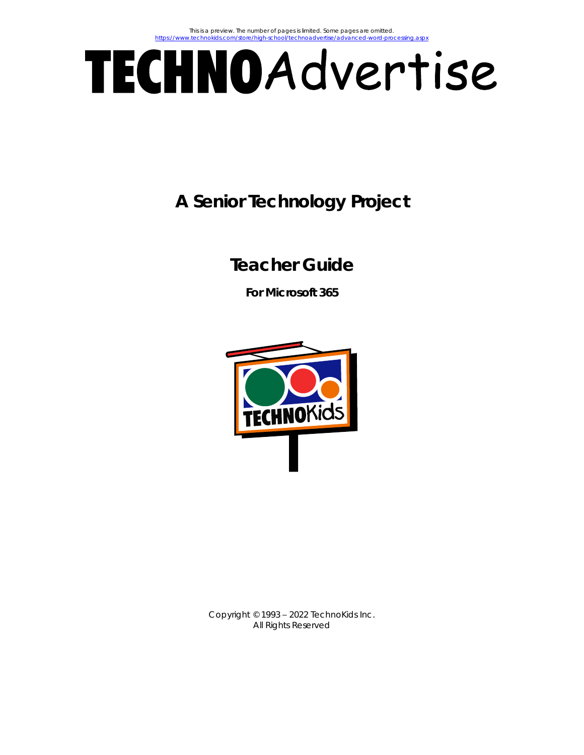# TECHNOAdvertise

# **A Senior Technology Project**

# **Teacher Guide**

**For Microsoft 365**



Copyright © 1993 – 2022 TechnoKids Inc. All Rights Reserved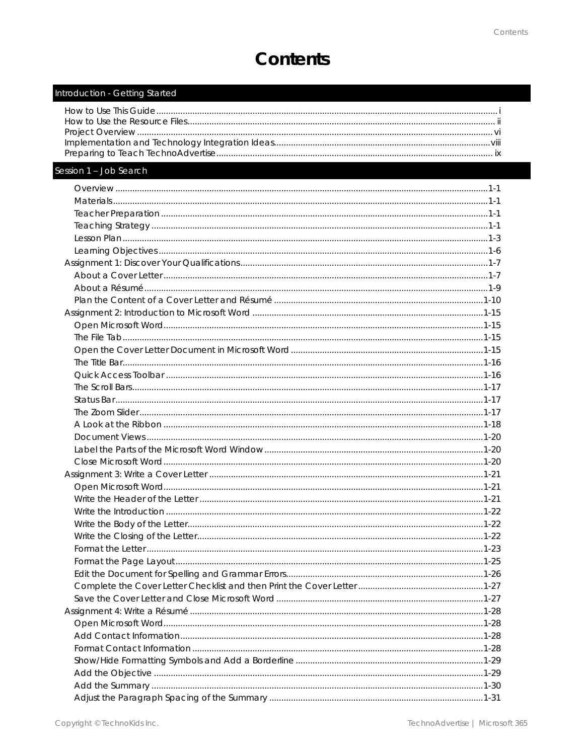# Contents

| Introduction - Getting Started |  |
|--------------------------------|--|
|                                |  |
|                                |  |
|                                |  |
|                                |  |
|                                |  |

#### Session 1 - Job Search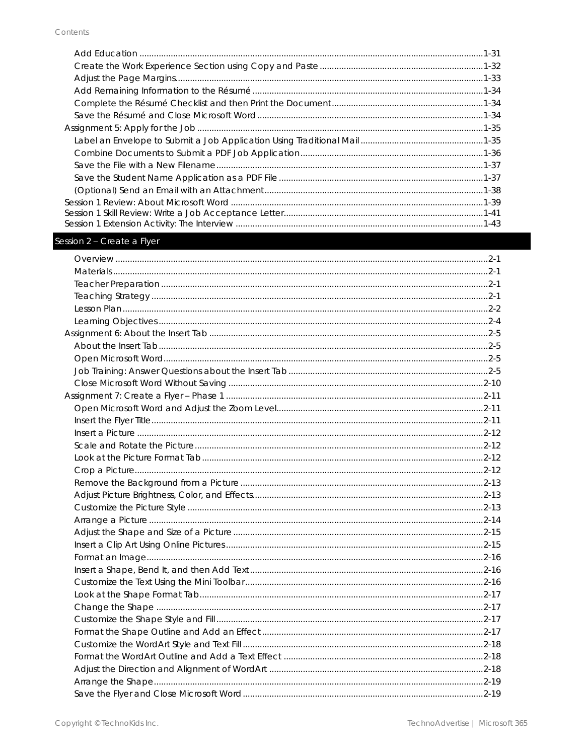#### Session 2 - Create a Flyer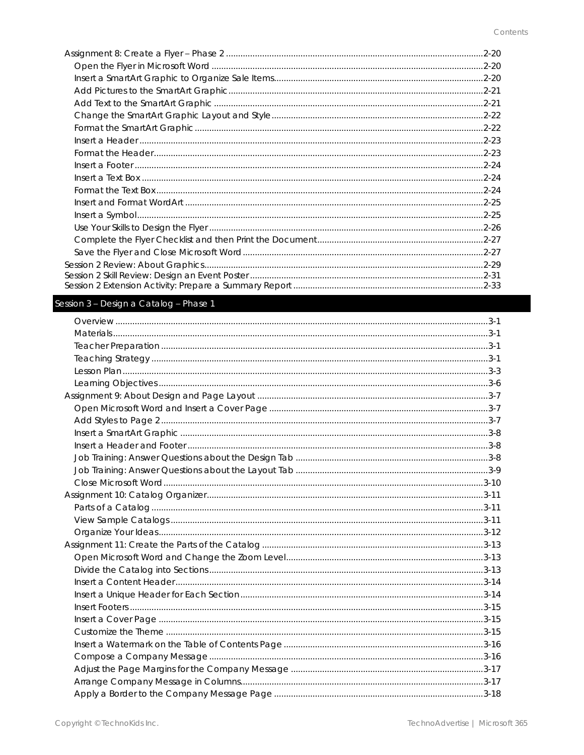| $2 - 20$ |
|----------|
|          |
|          |
|          |
|          |
|          |
|          |
|          |
|          |
|          |
|          |
|          |
|          |
|          |
|          |
|          |
|          |
|          |
|          |
|          |

#### Session 3 - Design a Catalog - Phase 1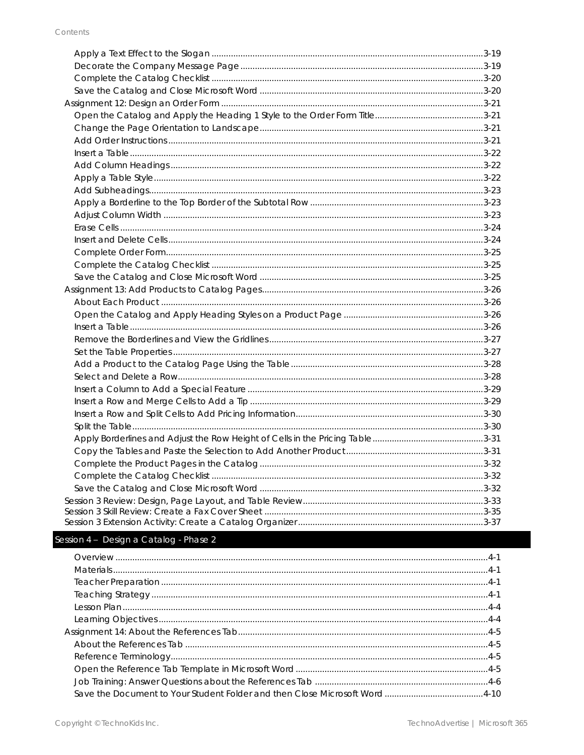#### Session 4 - Design a Catalog - Phase 2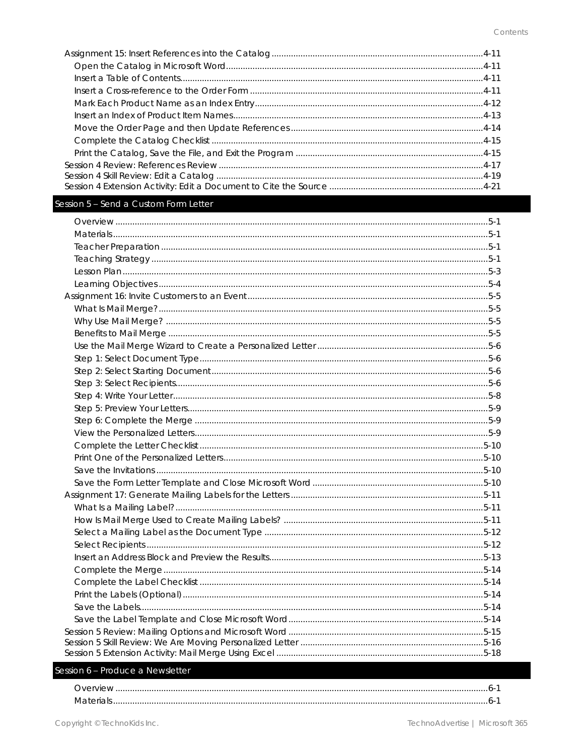#### Session 5 - Send a Custom Form Letter

#### Session 6 - Produce a Newsletter

| Materials |  |
|-----------|--|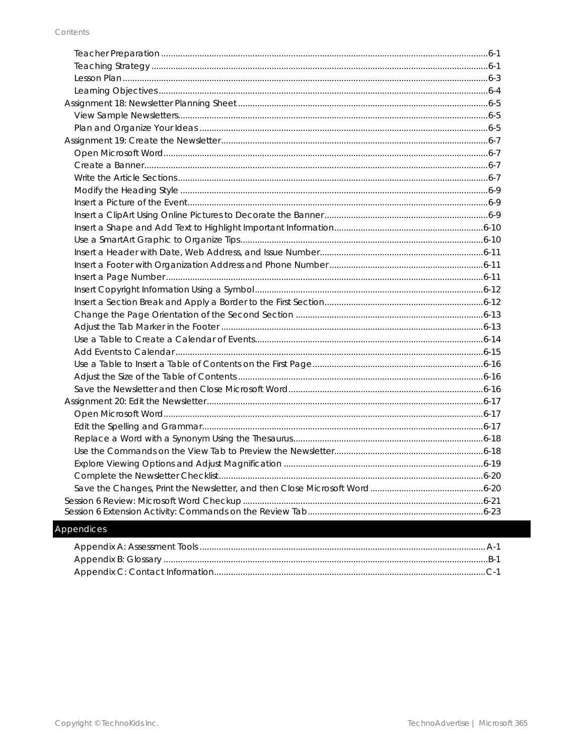#### Appendices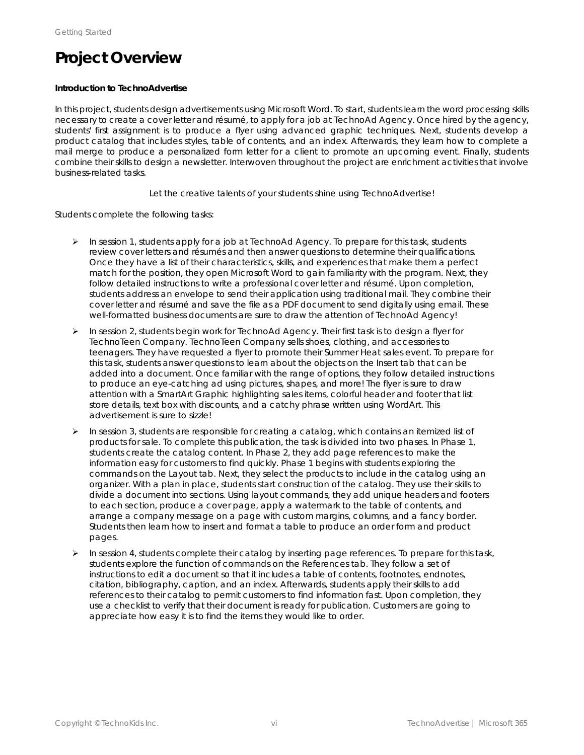# **Project Overview**

#### **Introduction to TechnoAdvertise**

In this project, students design advertisements using Microsoft Word. To start, students learn the word processing skills necessary to create a cover letter and résumé, to apply for a job at TechnoAd Agency. Once hired by the agency, students' first assignment is to produce a flyer using advanced graphic techniques. Next, students develop a product catalog that includes styles, table of contents, and an index. Afterwards, they learn how to complete a mail merge to produce a personalized form letter for a client to promote an upcoming event. Finally, students combine their skills to design a newsletter. Interwoven throughout the project are enrichment activities that involve business-related tasks.

*Let the creative talents of your students shine using TechnoAdvertise!*

Students complete the following tasks:

- $\triangleright$  In session 1, students apply for a job at TechnoAd Agency. To prepare for this task, students review cover letters and résumés and then answer questions to determine their qualifications. Once they have a list of their characteristics, skills, and experiences that make them a perfect match for the position, they open Microsoft Word to gain familiarity with the program. Next, they follow detailed instructions to write a professional cover letter and résumé. Upon completion, students address an envelope to send their application using traditional mail. They combine their cover letter and résumé and save the file as a PDF document to send digitally using email. These well-formatted business documents are sure to draw the attention of TechnoAd Agency!
- $\triangleright$  In session 2, students begin work for TechnoAd Agency. Their first task is to design a flyer for TechnoTeen Company. TechnoTeen Company sells shoes, clothing, and accessories to teenagers. They have requested a flyer to promote their Summer Heat sales event. To prepare for this task, students answer questions to learn about the objects on the Insert tab that can be added into a document. Once familiar with the range of options, they follow detailed instructions to produce an eye-catching ad using pictures, shapes, and more! The flyer is sure to draw attention with a SmartArt Graphic highlighting sales items, colorful header and footer that list store details, text box with discounts, and a catchy phrase written using WordArt. This advertisement is sure to sizzle!
- ➢ In session 3, students are responsible for creating a catalog, which contains an itemized list of products for sale. To complete this publication, the task is divided into two phases. In Phase 1, students create the catalog content. In Phase 2, they add page references to make the information easy for customers to find quickly. Phase 1 begins with students exploring the commands on the Layout tab. Next, they select the products to include in the catalog using an organizer. With a plan in place, students start construction of the catalog. They use their skills to divide a document into sections. Using layout commands, they add unique headers and footers to each section, produce a cover page, apply a watermark to the table of contents, and arrange a company message on a page with custom margins, columns, and a fancy border. Students then learn how to insert and format a table to produce an order form and product pages.
- $\triangleright$  In session 4, students complete their catalog by inserting page references. To prepare for this task, students explore the function of commands on the References tab. They follow a set of instructions to edit a document so that it includes a table of contents, footnotes, endnotes, citation, bibliography, caption, and an index. Afterwards, students apply their skills to add references to their catalog to permit customers to find information fast. Upon completion, they use a checklist to verify that their document is ready for publication. Customers are going to appreciate how easy it is to find the items they would like to order.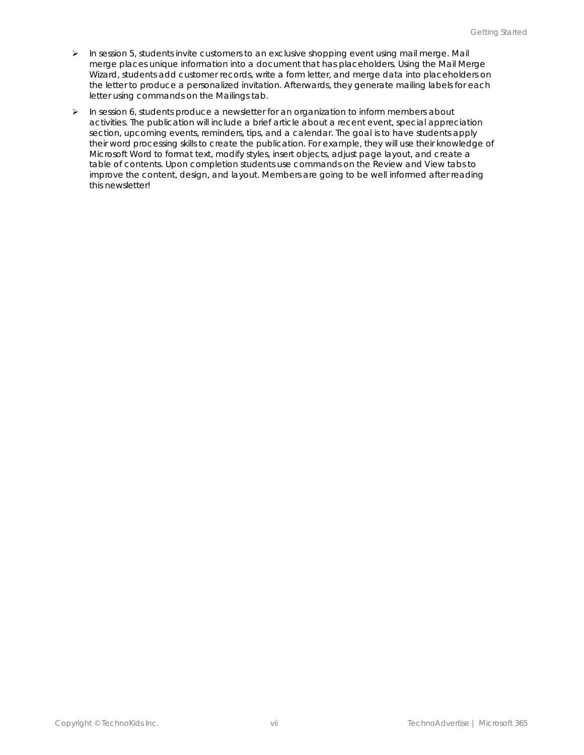- ➢ In session 5, students invite customers to an exclusive shopping event using mail merge. Mail merge places unique information into a document that has placeholders. Using the Mail Merge Wizard, students add customer records, write a form letter, and merge data into placeholders on the letter to produce a personalized invitation. Afterwards, they generate mailing labels for each letter using commands on the Mailings tab.
- ➢ In session 6, students produce a newsletter for an organization to inform members about activities. The publication will include a brief article about a recent event, special appreciation section, upcoming events, reminders, tips, and a calendar. The goal is to have students apply their word processing skills to create the publication. For example, they will use their knowledge of Microsoft Word to format text, modify styles, insert objects, adjust page layout, and create a table of contents. Upon completion students use commands on the Review and View tabs to improve the content, design, and layout. Members are going to be well informed after reading this newsletter!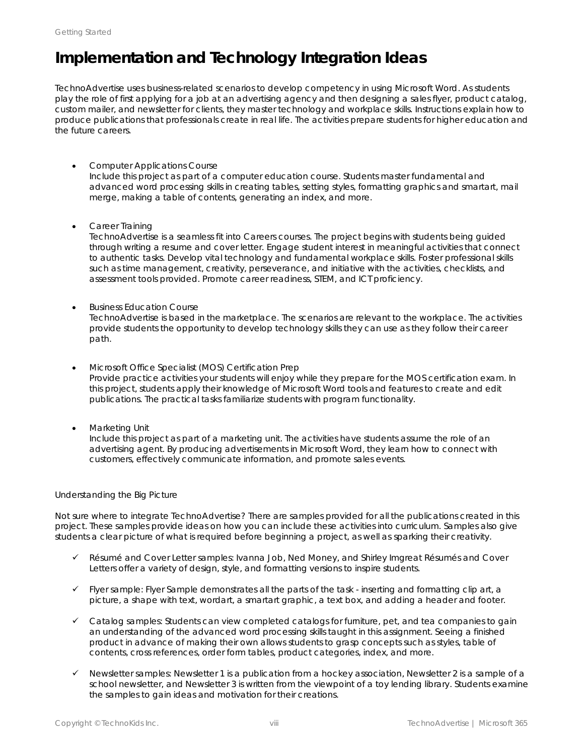## **Implementation and Technology Integration Ideas**

TechnoAdvertise uses business-related scenarios to develop competency in using Microsoft Word. As students play the role of first applying for a job at an advertising agency and then designing a sales flyer, product catalog, custom mailer, and newsletter for clients, they master technology and workplace skills. Instructions explain how to produce publications that professionals create in real life. The activities prepare students for higher education and the future careers.

#### • *Computer Applications Course*

Include this project as part of a computer education course. Students master fundamental and advanced word processing skills in creating tables, setting styles, formatting graphics and smartart, mail merge, making a table of contents, generating an index, and more.

• *Career Training*

TechnoAdvertise is a seamless fit into Careers courses. The project begins with students being guided through writing a resume and cover letter. Engage student interest in meaningful activities that connect to authentic tasks. Develop vital technology and fundamental workplace skills. Foster professional skills such as time management, creativity, perseverance, and initiative with the activities, checklists, and assessment tools provided. Promote career readiness, STEM, and ICT proficiency.

• *Business Education Course*

TechnoAdvertise is based in the marketplace. The scenarios are relevant to the workplace. The activities provide students the opportunity to develop technology skills they can use as they follow their career path.

- *Microsoft Office Specialist (MOS) Certification Prep* Provide practice activities your students will enjoy while they prepare for the MOS certification exam. In this project, students apply their knowledge of Microsoft Word tools and features to create and edit publications. The practical tasks familiarize students with program functionality.
- *Marketing Unit*

Include this project as part of a marketing unit. The activities have students assume the role of an advertising agent. By producing advertisements in Microsoft Word, they learn how to connect with customers, effectively communicate information, and promote sales events.

#### *Understanding the Big Picture*

Not sure where to integrate TechnoAdvertise? There are samples provided for all the publications created in this project. These samples provide ideas on how you can include these activities into curriculum. Samples also give students a clear picture of what is required before beginning a project, as well as sparking their creativity.

- ✓ *R*é*sum*é and *Cover Letter samples:* Ivanna Job, Ned Money, and Shirley Imgreat Résumés and Cover Letters offer a variety of design, style, and formatting versions to inspire students.
- ✓ *Flyer sample:* Flyer Sample demonstrates all the parts of the task inserting and formatting clip art, a picture, a shape with text, wordart, a smartart graphic, a text box, and adding a header and footer.
- ✓ *Catalog samples:* Students can view completed catalogs for furniture, pet, and tea companies to gain an understanding of the advanced word processing skills taught in this assignment. Seeing a finished product in advance of making their own allows students to grasp concepts such as styles, table of contents, cross references, order form tables, product categories, index, and more.
- ✓ *Newsletter samples*: Newsletter 1 is a publication from a hockey association, Newsletter 2 is a sample of a school newsletter, and Newsletter 3 is written from the viewpoint of a toy lending library. Students examine the samples to gain ideas and motivation for their creations.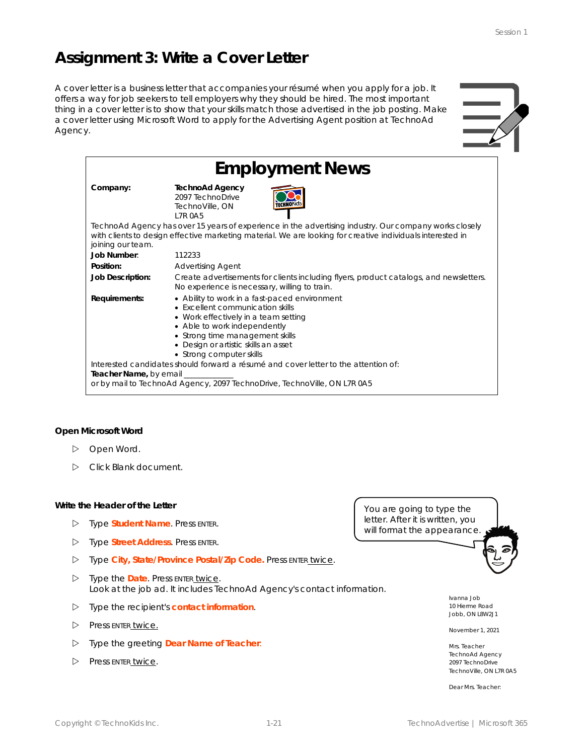# **Assignment 3: Write a Cover Letter**

A cover letter is a business letter that accompanies your résumé when you apply for a job. It offers a way for job seekers to tell employers why they should be hired. The most important thing in a cover letter is to show that your skills match those advertised in the job posting. Make a cover letter using Microsoft Word to apply for the Advertising Agent position at TechnoAd Agency.



| <b>Employment News</b>                                                                                                                                                                    |                                                                                                                                                                                                                                                                  |  |  |  |  |  |  |  |
|-------------------------------------------------------------------------------------------------------------------------------------------------------------------------------------------|------------------------------------------------------------------------------------------------------------------------------------------------------------------------------------------------------------------------------------------------------------------|--|--|--|--|--|--|--|
| Company:                                                                                                                                                                                  | <b>TechnoAd Agency</b><br>2097 TechnoDrive<br>TechnoVille, ON<br><b>17R0A5</b>                                                                                                                                                                                   |  |  |  |  |  |  |  |
| joining our team.                                                                                                                                                                         | TechnoAd Agency has over 15 years of experience in the advertising industry. Our company works closely<br>with clients to design effective marketing material. We are looking for creative individuals interested in                                             |  |  |  |  |  |  |  |
| Job Number:                                                                                                                                                                               | 112233                                                                                                                                                                                                                                                           |  |  |  |  |  |  |  |
| Position:                                                                                                                                                                                 | <b>Advertising Agent</b>                                                                                                                                                                                                                                         |  |  |  |  |  |  |  |
| Job Description:                                                                                                                                                                          | Create advertisements for clients including flyers, product catalogs, and newsletters.<br>No experience is necessary, willing to train.                                                                                                                          |  |  |  |  |  |  |  |
| Requirements:                                                                                                                                                                             | • Ability to work in a fast-paced environment<br>• Excellent communication skills<br>• Work effectively in a team setting<br>• Able to work independently<br>• Strong time management skills<br>• Design or artistic skills an asset<br>• Strong computer skills |  |  |  |  |  |  |  |
| Interested candidates should forward a résumé and cover letter to the attention of:<br>Teacher Name, by email<br>or by mail to TechnoAd Agency, 2097 TechnoDrive, TechnoVille, ON L7R 0A5 |                                                                                                                                                                                                                                                                  |  |  |  |  |  |  |  |

**Open Microsoft Word**

- Open Word.
- Click *Blank document*.

#### **Write the Header of the Letter**

- Type **Student Name**. Press ENTER.
- Type **Street Address**. Press ENTER.
- Type **City, State/Province Postal/Zip Code.** Press ENTER twice.
- Type the **Date**. Press ENTER twice. Look at the job ad. It includes TechnoAd Agency's *contact information*.
- Type the recipient's **contact information**.
- Press ENTER twice.
- Type the greeting **Dear Name of Teacher**:
- Press ENTER twice.

You are going to type the letter. After it is written, you will format the appearance



Ivanna Job 10 Hierme Road Jobb, ON L8W2J1

November 1, 2021

Mrs. Teacher TechnoAd Agency 2097 TechnoDrive TechnoVille, ON L7R 0A5

Dear Mrs. Teacher: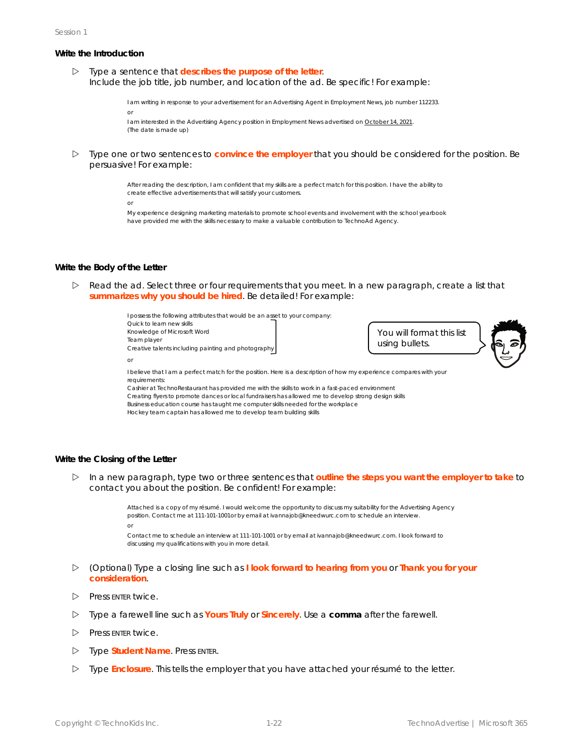#### **Write the Introduction**

 Type a sentence that **describes the purpose of the letter**. Include the job title, job number, and location of the ad. Be specific! For example:

> I am writing in response to your advertisement for an Advertising Agent in Employment News, job number 112233. or

```
I am interested in the Advertising Agency position in Employment News advertised on October 14, 2021.
(The date is made up)
```
 Type one or two sentences to **convince the employer** that you should be considered for the position. Be persuasive! For example:

> After reading the description, I am confident that my skills are a perfect match for this position. I have the ability to create effective advertisements that will satisfy your customers.

or

My experience designing marketing materials to promote school events and involvement with the school yearbook have provided me with the skills necessary to make a valuable contribution to TechnoAd Agency.

#### **Write the Body of the Letter**

 $\triangleright$  Read the ad. Select three or four requirements that you meet. In a new paragraph, create a list that **summarizes why you should be hired**. Be detailed! For example:

> I possess the following attributes that would be an asset to your company: Quick to learn new skills Knowledge of Microsoft Word Team player Creative talents including painting and photography or

You will format this list using bullets.



I believe that I am a perfect match for the position. Here is a description of how my experience compares with your requirements:

Cashier at TechnoRestaurant has provided me with the skills to work in a fast-paced environment

Creating flyers to promote dances or local fundraisers has allowed me to develop strong design skills

Business education course has taught me computer skills needed for the workplace Hockey team captain has allowed me to develop team building skills

#### **Write the Closing of the Letter**

 In a new paragraph, type two or three sentences that **outline the steps you want the employer to take** to contact you about the position. Be confident! For example:

> Attached is a copy of my résumé. I would welcome the opportunity to discuss my suitability for the Advertising Agency position. Contact me at 111-101-1001or by email at ivannajob@kneedwurc.com to schedule an interview. or Contact me to schedule an interview at 111-101-1001 or by email at ivannajob@kneedwurc.com. I look forward to

discussing my qualifications with you in more detail.

- (Optional) Type a closing line such as **I look forward to hearing from you** or **Thank you for your consideration**.
- $\triangleright$  Press ENTER twice.
- Type a farewell line such as **Yours Truly** or **Sincerely**. Use a **comma** after the farewell.
- $\triangleright$  Press ENTER twice.
- Type **Student Name**. Press ENTER.
- Type **Enclosure**. This tells the employer that you have attached your résumé to the letter.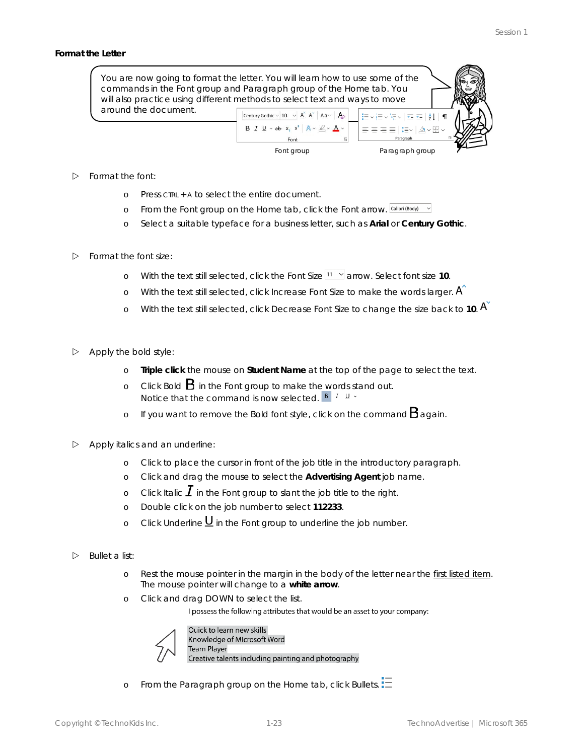#### **Format the Letter**



- $\triangleright$  Format the font:
	- o Press CTRL + A to select the entire document.
	- o From the Font group on the Home tab, click the *Font* arrow.
	- o Select a suitable typeface for a business letter, such as **Arial** or **Century Gothic**.
- $\triangleright$  Format the font size:
	- o With the text still selected, click the Font Size  $\frac{11 x}{x}$  arrow. Select font size 10.
	- o With the text still selected, click *Increase Font Size* to make the words larger.
	- o With the text still selected, click *Decrease Font Size* to change the size back to **10**.
- $\triangleright$  Apply the bold style:
	- o **Triple click** the mouse on **Student Name** at the top of the page to select the text.
	- o Click *Bold* in the Font group to make the words stand out. Notice that the command is now selected.  $\mathbf{B} \mid I \mid \mathbf{U}$  .
	- o If you want to remove the Bold font style, click on the command  $\mathbf B$  again.
- $\triangleright$  Apply italics and an underline:
	- o Click to place the cursor in front of the job title in the introductory paragraph.
	- o Click and drag the mouse to select the **Advertising Agent** job name.
	- o Click *Italic*  $\perp$  in the Font group to slant the job title to the right.
	- o Double click on the job number to select **112233**.
	- $\circ$  Click Underline  $\underline{\mathsf{U}}$  in the Font group to underline the job number.
- $\triangleright$  Bullet a list:
	- o Rest the mouse pointer in the margin in the body of the letter near the first listed item. The mouse pointer will change to a **white arrow**.
	- o Click and drag DOWN to select the list.

I possess the following attributes that would be an asset to your company:



Quick to learn new skills Knowledge of Microsoft Word Team Player Creative talents including painting and photography

o From the Paragraph group on the Home tab, click *Bullets*.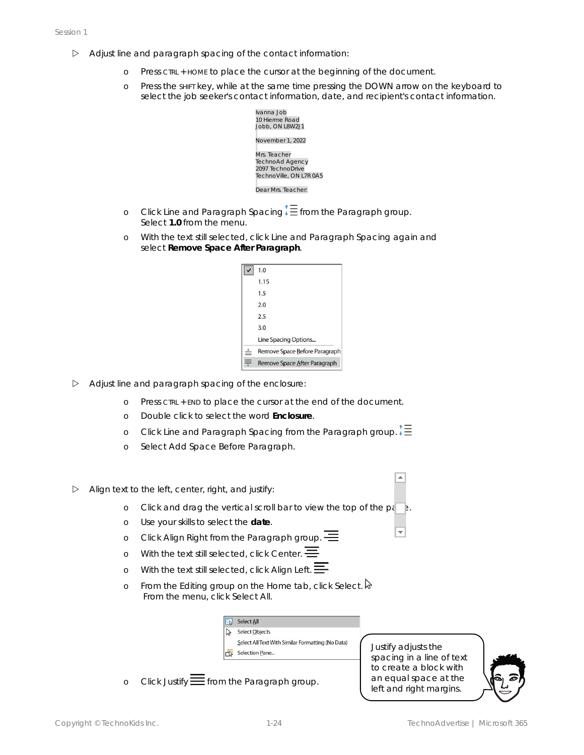- $\triangleright$  Adjust line and paragraph spacing of the contact information:
	- o Press CTRL + HOME to place the cursor at the beginning of the document.
	- o Press the SHIFT key, while at the same time pressing the DOWN arrow on the keyboard to select the job seeker's contact information, date, and recipient's contact information.



- o Click Line and Paragraph Spacing<sup>1</sup> Efrom the Paragraph group. Select **1.0** from the menu.
- o With the text still selected, click *Line and Paragraph Spacing* again and select **Remove Space After Paragraph**.

|   | 1.0                           |
|---|-------------------------------|
|   | 1.15                          |
|   | 1.5                           |
|   | 2.0                           |
|   | 25                            |
|   | 3.0                           |
|   | Line Spacing Options          |
| ≑ | Remove Space Before Paragraph |
|   | Remove Space After Paragraph  |

- $\triangleright$  Adjust line and paragraph spacing of the enclosure:
	- o Press CTRL + END to place the cursor at the end of the document.
	- o Double click to select the word **Enclosure**.
	- o Click *Line and Paragraph Spacing* from the Paragraph group.
	- o Select *Add Space Before Paragraph*.
- $\triangleright$  Align text to the left, center, right, and justify:
	- o Click and drag the vertical scroll bar to view the top of the  $p_i$
	- o Use your skills to select the **date**.
	- o Click *Align Right* from the Paragraph group.
	- o With the text still selected, click *Center*.
	- o With the text still selected, click Align Left.  $\equiv$
	- o From the Editing group on the Home tab, click *Select*. From the menu, click *Select All*.



o Click *Justify*  $\equiv$  from the Paragraph group.

Justify adjusts the spacing in a line of text to create a block with an equal space at the left and right margins.

 $\overline{\phantom{a}}$ 

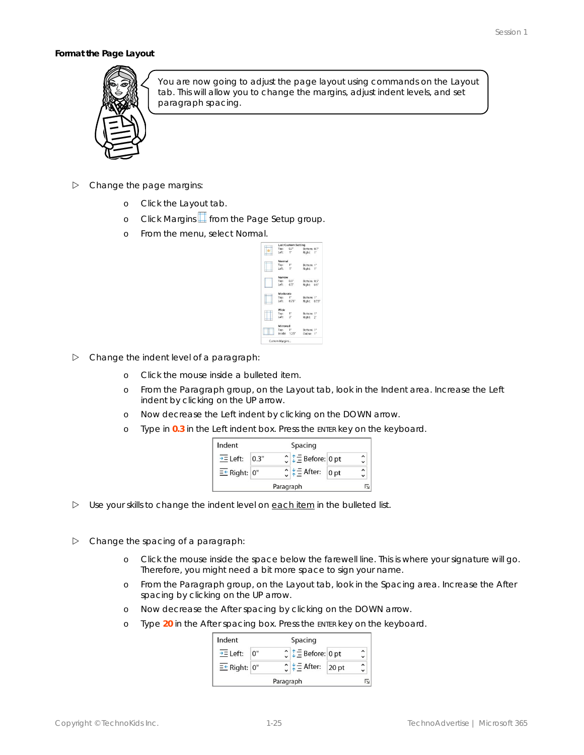#### **Format the Page Layout**



You are now going to adjust the page layout using commands on the *Layout* tab. This will allow you to change the margins, adjust indent levels, and set paragraph spacing.

- $\triangleright$  Change the page margins:
	- o Click the *Layout* tab.
	- o Click *Margins* from the Page Setup group.
	- o From the menu, select *Normal*.

|                  | <b>Last Custom Setting</b> |              |  |
|------------------|----------------------------|--------------|--|
| Top: $0.7^\circ$ |                            | Bottom: 0.7" |  |
| $left - 1$ "     |                            | Right: 1"    |  |
| Normal           |                            |              |  |
| Top:             |                            | Bottom: 1"   |  |
| Left: 1"         |                            | Right: 1"    |  |
| Narrow           |                            |              |  |
| Top:             | 0.5"                       | Bottom: 0.5" |  |
| $left = 0.5$ "   |                            | Right: 0.5"  |  |
| Moderate         |                            |              |  |
| Top:             | $1^{\circ}$                | Bottom: 1"   |  |
| Left:            | 0.75"                      | Right: 0.75" |  |
| Wide             |                            |              |  |
| Top:             | 1 <sup>n</sup>             | Bottom: 1"   |  |
| Left:            | $\mathbf{r}$               | Right: 2"    |  |
| Mirrored         |                            |              |  |
| Top:             | 1 <sup>1</sup>             | Bottom: 1"   |  |
| Inside: 1.25"    |                            | Outlise: 1"  |  |

- $\triangleright$  Change the indent level of a paragraph:
	- o Click the mouse inside a bulleted item.
	- o From the Paragraph group, on the *Layout* tab, look in the Indent area. Increase the *Left* indent by clicking on the UP arrow.
	- o Now decrease the *Left* indent by clicking on the DOWN arrow.
	- o Type in **0.3** in the *Left* indent box. Press the ENTER key on the keyboard.

| Indent                | Spacing |           |                                            |                 |  |  |
|-----------------------|---------|-----------|--------------------------------------------|-----------------|--|--|
| $\rightarrow$ = Left: | 0.3"    |           | $\hat{C}$ $\hat{I}$ $\hat{I}$ Before: 0 pt |                 |  |  |
| $E^*$ Right: $0$ "    |         |           | $\frac{1}{2}$ $\equiv$ After:              | 0 <sub>pt</sub> |  |  |
|                       |         | Paragraph |                                            |                 |  |  |

- $\triangleright$  Use your skills to change the indent level on each item in the bulleted list.
- $\triangleright$  Change the spacing of a paragraph:
	- o Click the mouse inside the space below the farewell line. This is where your signature will go. Therefore, you might need a bit more space to sign your name.
	- o From the Paragraph group, on the *Layout* tab, look in the Spacing area. Increase the *After* spacing by clicking on the UP arrow.
	- o Now decrease the *After* spacing by clicking on the DOWN arrow.
	- o Type **20** in the *After* spacing box. Press the ENTER key on the keyboard.

| Indent                     |    |           | Spacing                                    |      |  |
|----------------------------|----|-----------|--------------------------------------------|------|--|
| $\overline{\div}$ Left:    | 0" |           | $\hat{C}$ $\hat{I}$ $\hat{I}$ Before: 0 pt |      |  |
| $E^{\leftarrow}$ Right: 0" |    |           | $\frac{1}{2}$ $\equiv$ After:              | 20pt |  |
|                            |    | Paragraph |                                            |      |  |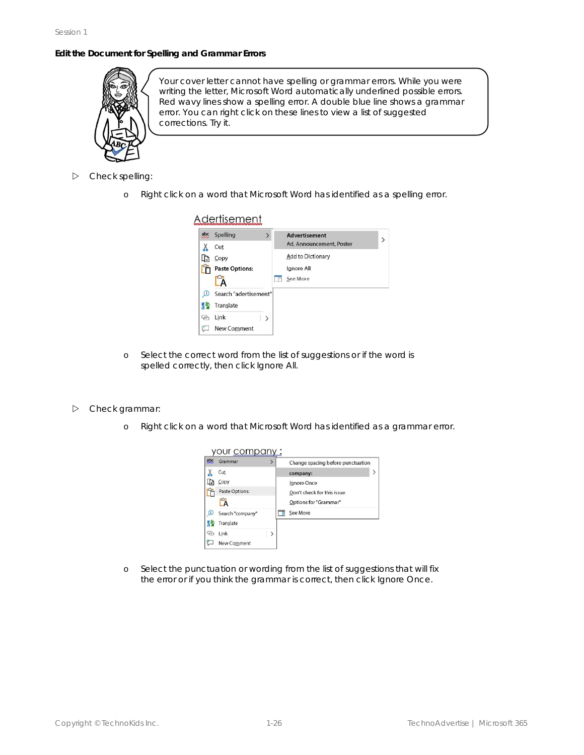#### **Edit the Document for Spelling and Grammar Errors**



Your cover letter cannot have spelling or grammar errors. While you were writing the letter, Microsoft Word automatically underlined possible errors. Red wavy lines show a spelling error. A double blue line shows a grammar error. You can right click on these lines to view a list of suggested corrections. Try it.

- $\triangleright$  Check spelling:
	- o Right click on a word that Microsoft Word has identified as a spelling error.

#### Adertisement abc Spelling Advertisement Ad, Announcement, Poster  $X$  Cut Add to Dictionary La Copy **T** Paste Options: Ignore All **E** See More ĽÄ <sup>1</sup> Search "adertisement" 5 Translate & Link  $\rightarrow$ New Comment

- o Select the correct word from the list of suggestions or if the word is spelled correctly, then click *Ignore All*.
- Check grammar:
	- o Right click on a word that Microsoft Word has identified as a grammar error.



o Select the punctuation or wording from the list of suggestions that will fix the error or if you think the grammar is correct, then click *Ignore Once*.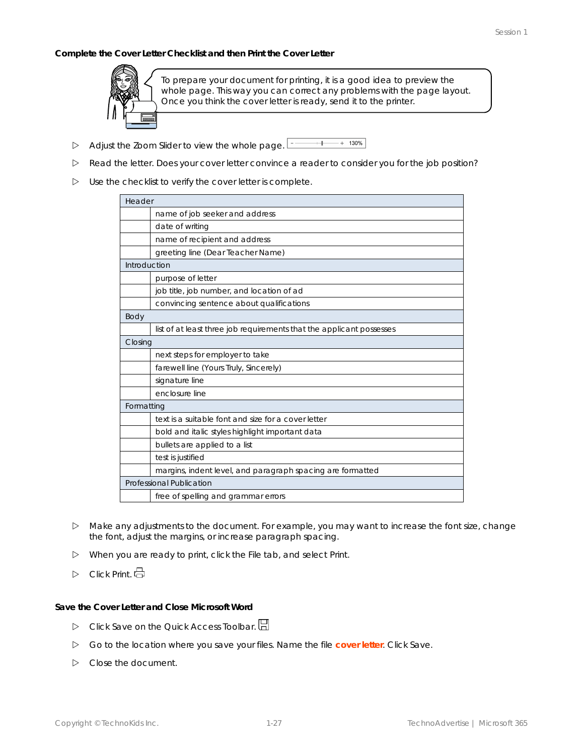**Complete the Cover Letter Checklist and then Print the Cover Letter**



To prepare your document for printing, it is a good idea to preview the whole page. This way you can correct any problems with the page layout. Once you think the cover letter is ready, send it to the printer.

- $+$  130% Adjust the *Zoom Slider* to view the whole page.
- Read the letter. Does your cover letter convince a reader to consider you for the job position?
- $\triangleright$  Use the checklist to verify the cover letter is complete.

| Header       |                                                                      |
|--------------|----------------------------------------------------------------------|
|              | name of job seeker and address                                       |
|              | date of writing                                                      |
|              | name of recipient and address                                        |
|              | greeting line (Dear Teacher Name)                                    |
| Introduction |                                                                      |
|              | purpose of letter                                                    |
|              | job title, job number, and location of ad                            |
|              | convincing sentence about qualifications                             |
| Body         |                                                                      |
|              | list of at least three job requirements that the applicant possesses |
| Closing      |                                                                      |
|              | next steps for employer to take                                      |
|              | farewell line (Yours Truly, Sincerely)                               |
|              | signature line                                                       |
|              | enclosure line                                                       |
| Formatting   |                                                                      |
|              | text is a suitable font and size for a cover letter                  |
|              | bold and italic styles highlight important data                      |
|              | bullets are applied to a list                                        |
|              | test is justified                                                    |
|              | margins, indent level, and paragraph spacing are formatted           |
|              | Professional Publication                                             |
|              | free of spelling and grammar errors                                  |

- $\triangleright$  Make any adjustments to the document. For example, you may want to increase the font size, change the font, adjust the margins, or increase paragraph spacing.
- When you are ready to print, click the File tab, and select *Print*.
- Click *Print*.

**Save the Cover Letter and Close Microsoft Word**

- Click *Save* on the Quick Access Toolbar.
- Go to the location where you save your files. Name the file **cover letter**. Click *Save*.
- Close the document.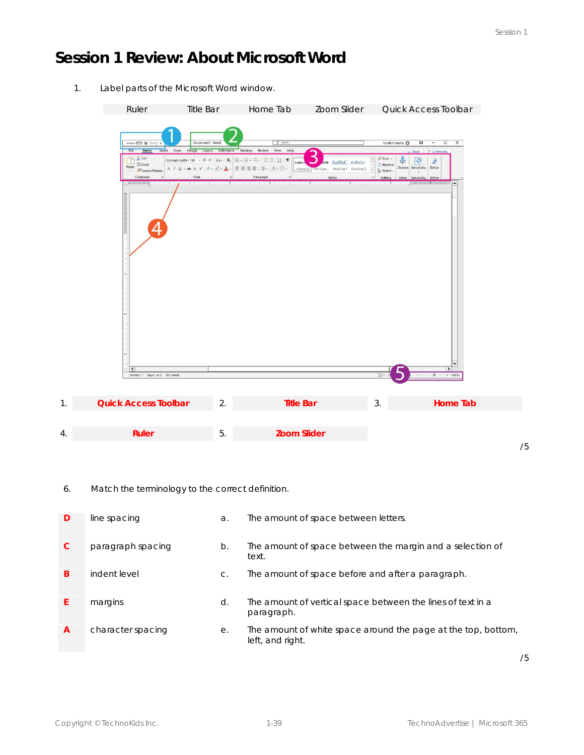# **Session 1 Review: About Microsoft Word**

1. Label parts of the Microsoft Word window.

|    | Ruler                                                                                                                                                                                                                       | <b>Title Bar</b>                                                                 |    | Home Tab                                                                                                                                                                                                                                                                                           | Zoom Slider                                                                                                                                            |                                          |                                                                                                                             | Quick Access Toolbar                                                                                                                                   |                            |  |
|----|-----------------------------------------------------------------------------------------------------------------------------------------------------------------------------------------------------------------------------|----------------------------------------------------------------------------------|----|----------------------------------------------------------------------------------------------------------------------------------------------------------------------------------------------------------------------------------------------------------------------------------------------------|--------------------------------------------------------------------------------------------------------------------------------------------------------|------------------------------------------|-----------------------------------------------------------------------------------------------------------------------------|--------------------------------------------------------------------------------------------------------------------------------------------------------|----------------------------|--|
|    | AutoSave <b>① 日</b> ヘーン +<br>File<br><b>Home</b><br>$\lambda$ Cut<br>$\Box$ $\Box$ Copy<br>Paste<br>SFormat Painter<br>Clipboard<br><b>KE SHOW A BELLEVILLE</b><br>$\blacktriangleleft$<br>Section: 1 Page 1 or 5 491 words | Document1 - Word<br>Insert Draw Design Layout References Mailings Review<br>Font |    | $\rho$ Search<br>View Help<br>$B \quad I \quad \underline{U} \times ab \quad x, \ x' \mid A \times \underline{\mathcal{L}} \times \underline{A} \times \overline{B} \equiv \overline{a} \equiv \overline{a} \mid \exists x \mid \underline{\mathcal{Q}} \times \overline{a} \rbrace.$<br>Paragraph | AaBbC<br>.Ddl<br>I Normal II No Spac Heading 1 Heading 2<br>Styles<br>and a fine and 2 to a settle of a 3 and on 3 and 4 a sub- 5 and 6 and 5 and 0 in | AaBbC AaBbCcl<br>$\overline{\mathbf{x}}$ | Student Name <sup>6</sup><br>$D$ Find $\vee$<br>Replace<br>Dictate Sensitivity<br>p Select√<br>Editing<br>Voice<br>1.111116 | 困<br>$\Box$<br>$-$<br>Share P Comments<br>$\mathbb{R}^3$<br>$\mathbf{r}$<br>Editor<br>Sensitivity<br>Editor<br>$\beta$ and $\beta$ . The second<br>÷B. | $\times$<br>∣▲<br>$+ 160%$ |  |
| 1. | <b>Quick Access Toolbar</b>                                                                                                                                                                                                 |                                                                                  | 2. |                                                                                                                                                                                                                                                                                                    | <b>Title Bar</b>                                                                                                                                       |                                          | 3.                                                                                                                          |                                                                                                                                                        | Home Tab                   |  |
|    |                                                                                                                                                                                                                             |                                                                                  |    |                                                                                                                                                                                                                                                                                                    |                                                                                                                                                        |                                          |                                                                                                                             |                                                                                                                                                        |                            |  |
| 4. | Ruler                                                                                                                                                                                                                       |                                                                                  | 5. |                                                                                                                                                                                                                                                                                                    | <b>Zoom Slider</b>                                                                                                                                     |                                          |                                                                                                                             |                                                                                                                                                        |                            |  |

/5

6. Match the terminology to the correct definition.

| D | line spacing      | a.    | The amount of space between letters.                                              |
|---|-------------------|-------|-----------------------------------------------------------------------------------|
| C | paragraph spacing | b.    | The amount of space between the margin and a selection of<br>text.                |
| B | indent level      | $C$ . | The amount of space before and after a paragraph.                                 |
|   | margins           | d.    | The amount of vertical space between the lines of text in a<br>paragraph.         |
| A | character spacing | е.    | The amount of white space around the page at the top, bottom,<br>left, and right. |

/5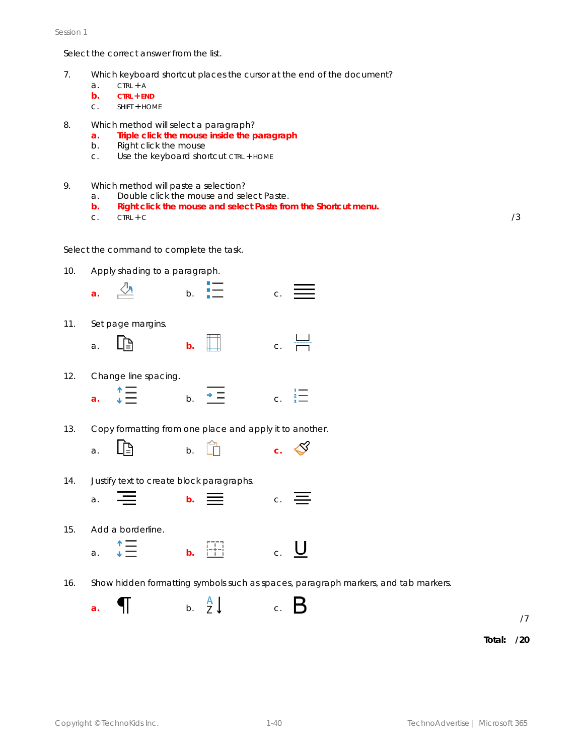Session 1

Select the correct answer from the list.

- 7. Which keyboard shortcut places the cursor at the end of the document?
	- $a.$  CTRL + A
	- **b. CTRL + END**
	- c. SHIFT + HOME
- 8. Which method will select a paragraph?
	- **a. Triple click the mouse inside the paragraph**
	- b. Right click the mouse
	- c. Use the keyboard shortcut CTRL + HOME
- 9. Which method will paste a selection?
	- a. Double click the mouse and select *Paste*.
	- **b. Right click the mouse and select** *Paste* **from the Shortcut menu.**
	- c.  $CTRL + C$  /3

Select the command to complete the task.

10. Apply shading to a paragraph.



16. Show hidden formatting symbols such as spaces, paragraph markers, and tab markers.

a.  $\left( \begin{array}{ccc} 1 & 0 & 0 \\ 0 & 0 & 0 \end{array} \right)$  a. B

/7

**Total: /20**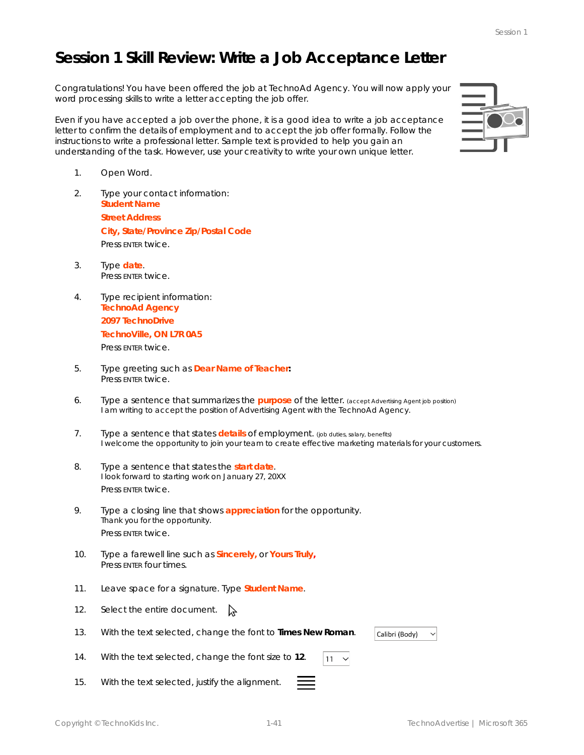# **Session 1 Skill Review: Write a Job Acceptance Letter**

Congratulations! You have been offered the job at TechnoAd Agency. You will now apply your word processing skills to write a letter accepting the job offer.

Even if you have accepted a job over the phone, it is a good idea to write a job acceptance letter to confirm the details of employment and to accept the job offer formally. Follow the instructions to write a professional letter. Sample text is provided to help you gain an understanding of the task. However, use your creativity to write your own unique letter.

- 1. Open Word.
- 2. Type your contact information: **Student Name Street Address City, State/Province Zip/Postal Code** Press ENTER twice.
- 3. Type **date**. Press ENTER twice.
- 4. Type recipient information: **TechnoAd Agency 2097 TechnoDrive TechnoVille, ON L7R 0A5** Press ENTER twice.
- 5. Type greeting such as **Dear Name of Teacher:** Press ENTER twice.
- 6. Type a sentence that summarizes the **purpose** of the letter. (accept Advertising Agent job position) I am writing to accept the position of Advertising Agent with the TechnoAd Agency.
- 7. Type a sentence that states **details** of employment. (job duties, salary, benefits) I welcome the opportunity to join your team to create effective marketing materials for your customers.
- 8. Type a sentence that states the **start date**. I look forward to starting work on January 27, 20XX Press ENTER twice.
- 9. Type a closing line that shows **appreciation** for the opportunity. Thank you for the opportunity. Press ENTER twice.
- 10. Type a farewell line such as **Sincerely,** or **Yours Truly,** Press ENTER four times.
- 11. Leave space for a signature. Type **Student Name**.
- 12. Select the entire document.  $\searrow$
- 13. With the text selected, change the font to **Times New Roman**.
- 14. With the text selected, change the font size to **12**.
- 15. With the text selected, justify the alignment.



 $11$  $\checkmark$  Calibri (Body)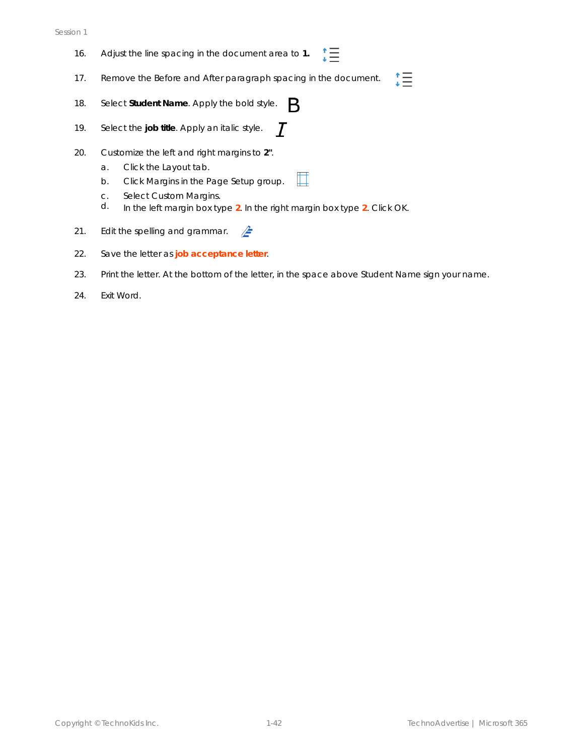#### Session 1

- 16. Adjust the line spacing in the document area to **1.** ∷≣
- "三 17. Remove the *Before* and *After* paragraph spacing in the document.
- 18. Select **Student Name**. Apply the bold style. B.
- 19. Select the **job title**. Apply an italic style.  $\boldsymbol{\mathcal{T}}$
- 20. Customize the left and right margins to **2"**.
	- a. Click the *Layout* tab.
	- b. Click *Margins* in the Page Setup group.
	- c. Select *Custom Margins*.
	- d. In the left margin box type **2**. In the right margin box type **2**. Click *OK*.
- 21. Edit the spelling and grammar.  $\mathbb{Z}$
- 22. Save the letter as **job acceptance letter**.
- 23. Print the letter. At the bottom of the letter, in the space above *Student Nam*e sign your name.

圃

24. Exit Word.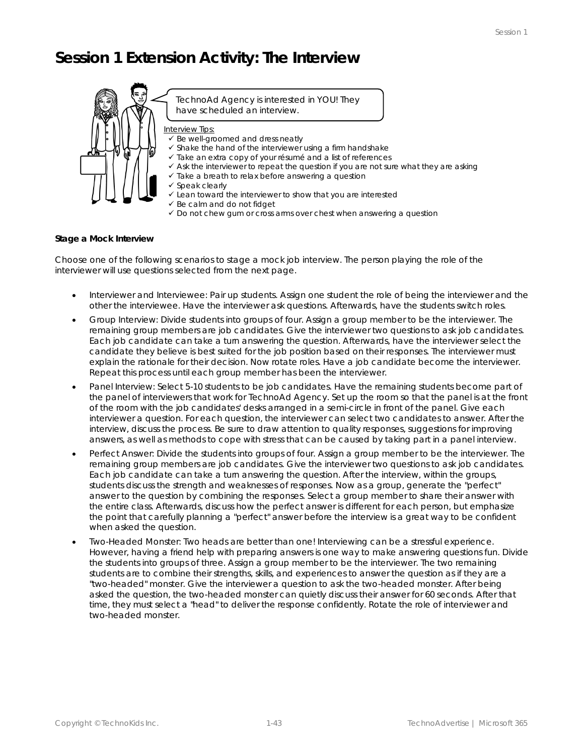### **Session 1 Extension Activity: The Interview**



#### **Stage a Mock Interview**

Choose one of the following scenarios to stage a mock job interview. The person playing the role of the interviewer will use questions selected from the next page.

- Interviewer and Interviewee: Pair up students. Assign one student the role of being the interviewer and the other the interviewee. Have the interviewer ask questions. Afterwards, have the students switch roles.
- Group Interview: Divide students into groups of four. Assign a group member to be the interviewer. The remaining group members are job candidates. Give the interviewer two questions to ask job candidates. Each job candidate can take a turn answering the question. Afterwards, have the interviewer select the candidate they believe is best suited for the job position based on their responses. The interviewer must explain the rationale for their decision. Now rotate roles. Have a job candidate become the interviewer. Repeat this process until each group member has been the interviewer.
- Panel Interview: Select 5-10 students to be job candidates. Have the remaining students become part of the panel of interviewers that work for TechnoAd Agency. Set up the room so that the panel is at the front of the room with the job candidates' desks arranged in a semi-circle in front of the panel. Give each interviewer a question. For each question, the interviewer can select two candidates to answer. After the interview, discuss the process. Be sure to draw attention to quality responses, suggestions for improving answers, as well as methods to cope with stress that can be caused by taking part in a panel interview.
- Perfect Answer: Divide the students into groups of four. Assign a group member to be the interviewer. The remaining group members are job candidates. Give the interviewer two questions to ask job candidates. Each job candidate can take a turn answering the question. After the interview, within the groups, students discuss the strength and weaknesses of responses. Now as a group, generate the "perfect" answer to the question by combining the responses. Select a group member to share their answer with the entire class. Afterwards, discuss how the perfect answer is different for each person, but emphasize the point that carefully planning a "perfect" answer before the interview is a great way to be confident when asked the question.
- Two-Headed Monster: Two heads are better than one! Interviewing can be a stressful experience. However, having a friend help with preparing answers is one way to make answering questions fun. Divide the students into groups of three. Assign a group member to be the interviewer. The two remaining students are to combine their strengths, skills, and experiences to answer the question as if they are a "two-headed" monster. Give the interviewer a question to ask the two-headed monster. After being asked the question, the two-headed monster can quietly discuss their answer for 60 seconds. After that time, they must select a "head" to deliver the response confidently. Rotate the role of interviewer and two-headed monster.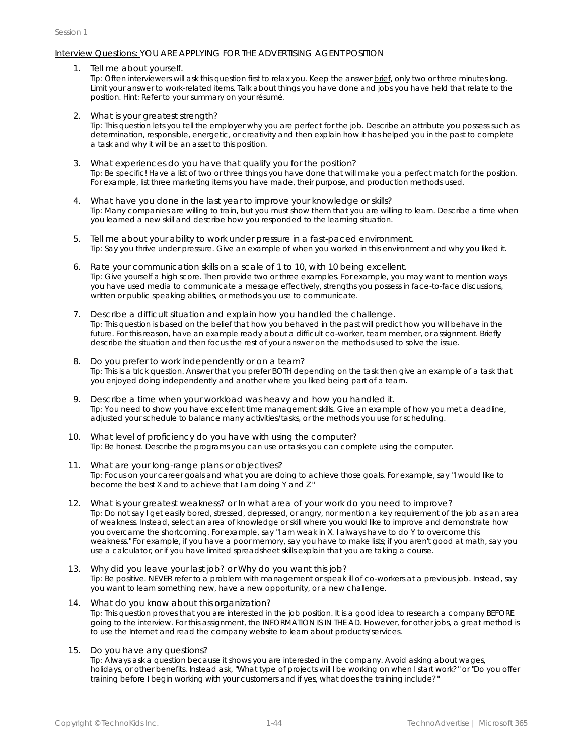#### Interview Questions: YOU ARE APPLYING FOR THE ADVERTISING AGENT POSITION

1. Tell me about yourself.

Tip: Often interviewers will ask this question first to relax you. Keep the answer brief, only two or three minutes long. Limit your answer to work-related items. Talk about things you have done and jobs you have held that relate to the position. Hint: Refer to your summary on your résumé.

2. What is your greatest strength?

Tip: This question lets you tell the employer why you are perfect for the job. Describe an attribute you possess such as determination, responsible, energetic, or creativity and then explain how it has helped you in the past to complete a task and why it will be an asset to this position.

- 3. What experiences do you have that qualify you for the position? Tip: Be specific! Have a list of two or three things you have done that will make you a perfect match for the position. For example, list three marketing items you have made, their purpose, and production methods used.
- 4. What have you done in the last year to improve your knowledge or skills? Tip: Many companies are willing to train, but you must show them that you are willing to learn. Describe a time when you learned a new skill and describe how you responded to the learning situation.
- 5. Tell me about your ability to work under pressure in a fast-paced environment. Tip: Say you thrive under pressure. Give an example of when you worked in this environment and why you liked it.
- 6. Rate your communication skills on a scale of 1 to 10, with 10 being excellent. Tip: Give yourself a high score. Then provide two or three examples. For example, you may want to mention ways you have used media to communicate a message effectively, strengths you possess in face-to-face discussions, written or public speaking abilities, or methods you use to communicate.
- 7. Describe a difficult situation and explain how you handled the challenge. Tip: This question is based on the belief that how you behaved in the past will predict how you will behave in the future. For this reason, have an example ready about a difficult co-worker, team member, or assignment. Briefly describe the situation and then focus the rest of your answer on the methods used to solve the issue.
- 8. Do you prefer to work independently or on a team? Tip: This is a trick question. Answer that you prefer BOTH depending on the task then give an example of a task that you enjoyed doing independently and another where you liked being part of a team.
- 9. Describe a time when your workload was heavy and how you handled it. Tip: You need to show you have excellent time management skills. Give an example of how you met a deadline, adjusted your schedule to balance many activities/tasks, or the methods you use for scheduling.
- 10. What level of proficiency do you have with using the computer? Tip: Be honest. Describe the programs you can use or tasks you can complete using the computer.
- 11. What are your long-range plans or objectives? Tip: Focus on your career goals and what you are doing to achieve those goals. For example, say "I would like to become the best X and to achieve that I am doing Y and Z."
- 12. What is your greatest weakness? or In what area of your work do you need to improve? Tip: Do not say I get easily bored, stressed, depressed, or angry, nor mention a key requirement of the job as an area of weakness. Instead, select an area of knowledge or skill where you would like to improve and demonstrate how you overcame the shortcoming. For example, say "I am weak in X. I always have to do Y to overcome this weakness." For example, if you have a poor memory, say you have to make lists; if you aren't good at math, say you use a calculator; or if you have limited spreadsheet skills explain that you are taking a course.
- 13. Why did you leave your last job? or Why do you want this job? Tip: Be positive. NEVER refer to a problem with management or speak ill of co-workers at a previous job. Instead, say you want to learn something new, have a new opportunity, or a new challenge.
- 14. What do you know about this organization? Tip: This question proves that you are interested in the job position. It is a good idea to research a company BEFORE going to the interview. For this assignment, the INFORMATION IS IN THE AD. However, for other jobs, a great method is to use the Internet and read the company website to learn about products/services.
- 15. Do you have any questions?

Tip: Always ask a question because it shows you are interested in the company. Avoid asking about wages, holidays, or other benefits. Instead ask, "What type of projects will I be working on when I start work?" or "Do you offer training before I begin working with your customers and if yes, what does the training include?"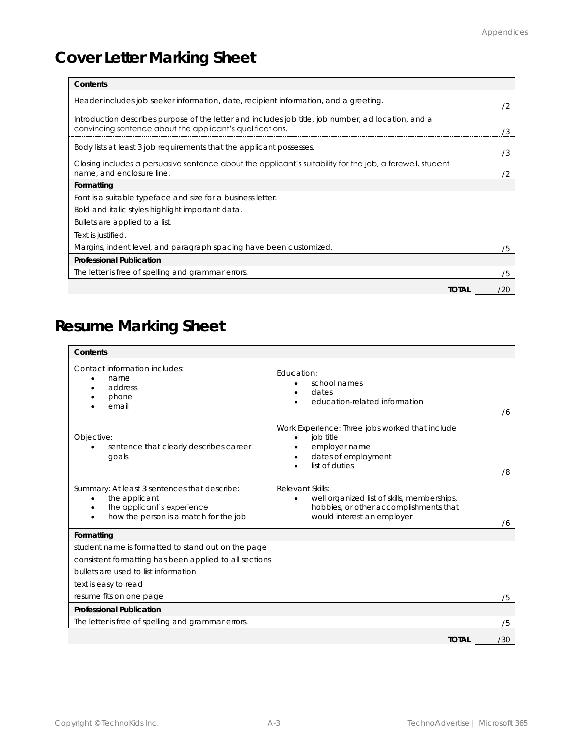# **Cover Letter Marking Sheet**

| Contents                                                                                                                                                         |     |
|------------------------------------------------------------------------------------------------------------------------------------------------------------------|-----|
| Header includes job seeker information, date, recipient information, and a greeting.                                                                             |     |
| Introduction describes purpose of the letter and includes job title, job number, ad location, and a<br>convincing sentence about the applicant's qualifications. | 73  |
| Body lists at least 3 job requirements that the applicant possesses.                                                                                             | ΄3  |
| Closing includes a persuasive sentence about the applicant's suitability for the job, a farewell, student<br>name, and enclosure line.                           |     |
| Formatting                                                                                                                                                       |     |
| Font is a suitable typeface and size for a business letter.                                                                                                      |     |
| Bold and italic styles highlight important data.                                                                                                                 |     |
| Bullets are applied to a list.                                                                                                                                   |     |
| Text is justified.                                                                                                                                               |     |
| Margins, indent level, and paragraph spacing have been customized.                                                                                               | 75  |
| Professional Publication                                                                                                                                         |     |
| The letter is free of spelling and grammar errors.                                                                                                               | /5  |
| <b>TOTAL</b>                                                                                                                                                     | 72N |

# **Resume Marking Sheet**

| Contents                                                                                                                             |                                                                                                                                         |     |
|--------------------------------------------------------------------------------------------------------------------------------------|-----------------------------------------------------------------------------------------------------------------------------------------|-----|
| Contact information includes:<br>name<br>address<br>phone<br>email                                                                   | <b>Fducation:</b><br>school names<br>dates<br>education-related information                                                             | 76  |
| Objective:<br>sentence that clearly describes career<br>goals                                                                        | Work Experience: Three jobs worked that include<br>job title<br>employer name<br>dates of employment<br>list of duties                  | /8  |
| Summary: At least 3 sentences that describe:<br>the applicant<br>the applicant's experience<br>how the person is a match for the job | Relevant Skills:<br>well organized list of skills, memberships,<br>hobbies, or other accomplishments that<br>would interest an employer | 76  |
| Formatting                                                                                                                           |                                                                                                                                         |     |
| student name is formatted to stand out on the page                                                                                   |                                                                                                                                         |     |
| consistent formatting has been applied to all sections                                                                               |                                                                                                                                         |     |
| bullets are used to list information                                                                                                 |                                                                                                                                         |     |
| text is easy to read                                                                                                                 |                                                                                                                                         |     |
| resume fits on one page                                                                                                              |                                                                                                                                         | /5  |
| Professional Publication                                                                                                             |                                                                                                                                         |     |
| The letter is free of spelling and grammar errors.                                                                                   |                                                                                                                                         | /5  |
|                                                                                                                                      | <b>TOTAL</b>                                                                                                                            | /30 |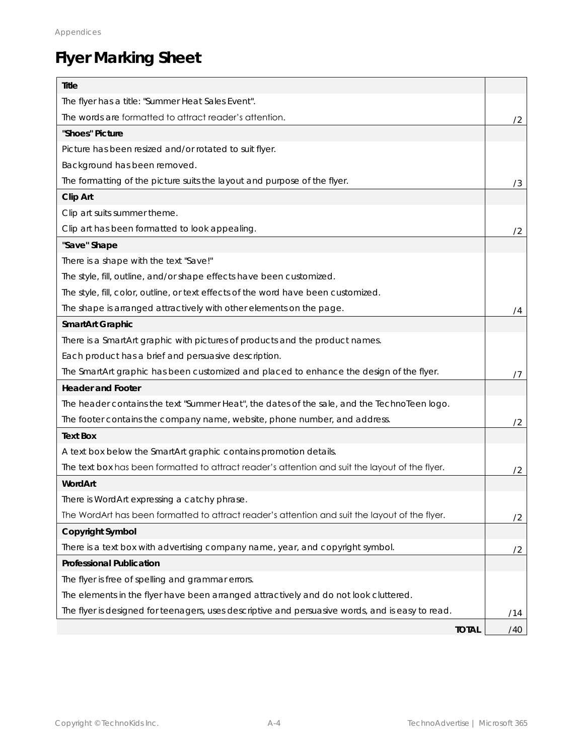# **Flyer Marking Sheet**

| Title                                                                                            |     |
|--------------------------------------------------------------------------------------------------|-----|
| The flyer has a title: "Summer Heat Sales Event".                                                |     |
| The words are formatted to attract reader's attention.                                           | /2  |
| "Shoes" Picture                                                                                  |     |
| Picture has been resized and/or rotated to suit flyer.                                           |     |
| Background has been removed.                                                                     |     |
| The formatting of the picture suits the layout and purpose of the flyer.                         | /3  |
| Clip Art                                                                                         |     |
| Clip art suits summer theme.                                                                     |     |
| Clip art has been formatted to look appealing.                                                   | /2  |
| "Save" Shape                                                                                     |     |
| There is a shape with the text "Save!"                                                           |     |
| The style, fill, outline, and/or shape effects have been customized.                             |     |
| The style, fill, color, outline, or text effects of the word have been customized.               |     |
| The shape is arranged attractively with other elements on the page.                              | 74  |
| SmartArt Graphic                                                                                 |     |
| There is a SmartArt graphic with pictures of products and the product names.                     |     |
| Each product has a brief and persuasive description.                                             |     |
| The SmartArt graphic has been customized and placed to enhance the design of the flyer.          | 77  |
| <b>Header and Footer</b>                                                                         |     |
| The header contains the text "Summer Heat", the dates of the sale, and the TechnoTeen logo.      |     |
| The footer contains the company name, website, phone number, and address.                        | /2  |
| <b>Text Box</b>                                                                                  |     |
| A text box below the SmartArt graphic contains promotion details.                                |     |
| The text box has been formatted to attract reader's attention and suit the layout of the flyer.  | /2  |
| WordArt                                                                                          |     |
| There is WordArt expressing a catchy phrase.                                                     |     |
| The WordArt has been formatted to attract reader's attention and suit the layout of the flyer.   | /2  |
| Copyright Symbol                                                                                 |     |
| There is a text box with advertising company name, year, and copyright symbol.                   | /2  |
| Professional Publication                                                                         |     |
| The flyer is free of spelling and grammar errors.                                                |     |
| The elements in the flyer have been arranged attractively and do not look cluttered.             |     |
| The flyer is designed for teenagers, uses descriptive and persuasive words, and is easy to read. | /14 |
| <b>TOTAL</b>                                                                                     | /40 |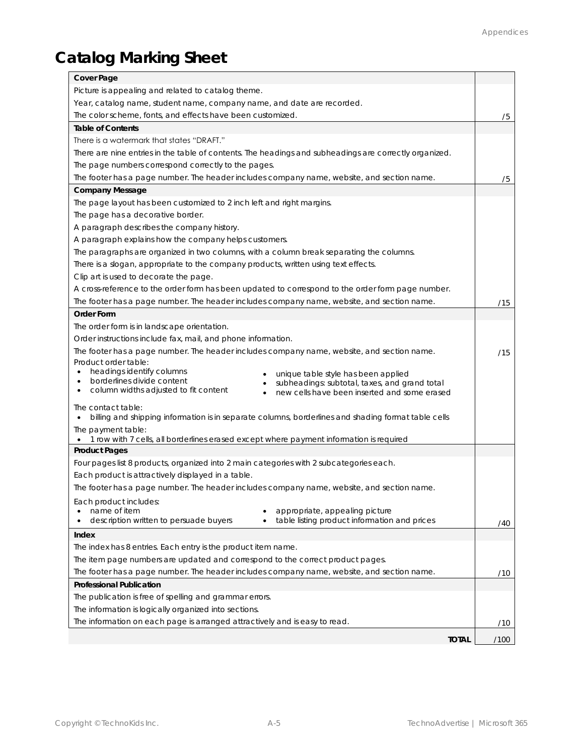# **Catalog Marking Sheet**

| Cover Page                                                                                                                                     |      |
|------------------------------------------------------------------------------------------------------------------------------------------------|------|
| Picture is appealing and related to catalog theme.                                                                                             |      |
| Year, catalog name, student name, company name, and date are recorded.                                                                         |      |
| The color scheme, fonts, and effects have been customized.                                                                                     | /5   |
| Table of Contents                                                                                                                              |      |
| There is a watermark that states "DRAFT."                                                                                                      |      |
| There are nine entries in the table of contents. The headings and subheadings are correctly organized.                                         |      |
| The page numbers correspond correctly to the pages.                                                                                            |      |
| The footer has a page number. The header includes company name, website, and section name.                                                     | /5   |
| Company Message                                                                                                                                |      |
| The page layout has been customized to 2 inch left and right margins.                                                                          |      |
| The page has a decorative border.                                                                                                              |      |
| A paragraph describes the company history.                                                                                                     |      |
| A paragraph explains how the company helps customers.                                                                                          |      |
| The paragraphs are organized in two columns, with a column break separating the columns.                                                       |      |
| There is a slogan, appropriate to the company products, written using text effects.                                                            |      |
| Clip art is used to decorate the page.                                                                                                         |      |
| A cross-reference to the order form has been updated to correspond to the order form page number.                                              |      |
| The footer has a page number. The header includes company name, website, and section name.                                                     | /15  |
| Order Form                                                                                                                                     |      |
| The order form is in landscape orientation.                                                                                                    |      |
| Order instructions include fax, mail, and phone information.                                                                                   |      |
| The footer has a page number. The header includes company name, website, and section name.                                                     | /15  |
| Product order table:                                                                                                                           |      |
| headings identify columns<br>$\bullet$<br>unique table style has been applied                                                                  |      |
| borderlines divide content<br>$\bullet$<br>subheadings: subtotal, taxes, and grand total<br>column widths adjusted to fit content<br>$\bullet$ |      |
| new cells have been inserted and some erased                                                                                                   |      |
| The contact table:                                                                                                                             |      |
| billing and shipping information is in separate columns, borderlines and shading format table cells<br>$\bullet$                               |      |
| The payment table:<br>. 1 row with 7 cells, all borderlines erased except where payment information is required                                |      |
| <b>Product Pages</b>                                                                                                                           |      |
| Four pages list 8 products, organized into 2 main categories with 2 subcategories each.                                                        |      |
| Each product is attractively displayed in a table.                                                                                             |      |
| The footer has a page number. The header includes company name, website, and section name.                                                     |      |
| Each product includes:                                                                                                                         |      |
| name of item<br>appropriate, appealing picture                                                                                                 |      |
| table listing product information and prices<br>description written to persuade buyers<br>٠                                                    | /40  |
| Index                                                                                                                                          |      |
| The index has 8 entries. Each entry is the product item name.                                                                                  |      |
| The item page numbers are updated and correspond to the correct product pages.                                                                 |      |
| The footer has a page number. The header includes company name, website, and section name.                                                     | /10  |
| Professional Publication                                                                                                                       |      |
| The publication is free of spelling and grammar errors.                                                                                        |      |
| The information is logically organized into sections.                                                                                          |      |
| The information on each page is arranged attractively and is easy to read.                                                                     | /10  |
|                                                                                                                                                |      |
| <b>TOTAL</b>                                                                                                                                   | /100 |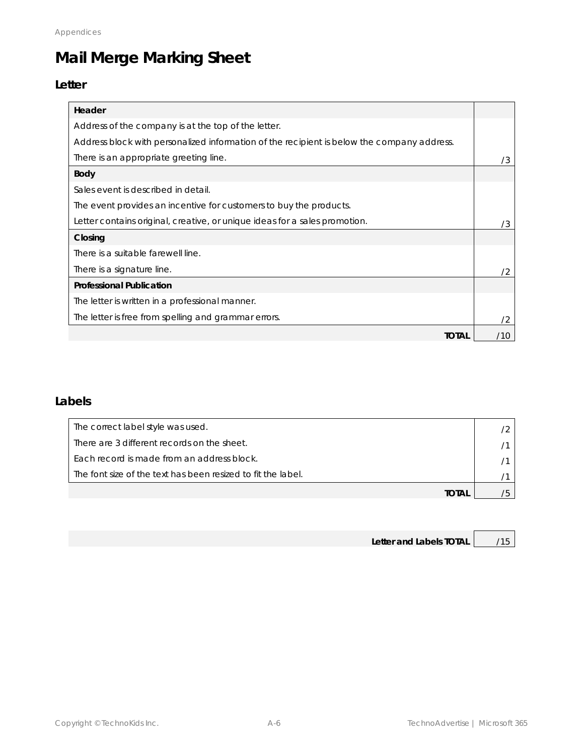# **Mail Merge Marking Sheet**

#### **Letter**

| Header                                                                                     |     |
|--------------------------------------------------------------------------------------------|-----|
| Address of the company is at the top of the letter.                                        |     |
| Address block with personalized information of the recipient is below the company address. |     |
| There is an appropriate greeting line.                                                     | /3  |
| Body                                                                                       |     |
| Sales event is described in detail.                                                        |     |
| The event provides an incentive for customers to buy the products.                         |     |
| Letter contains original, creative, or unique ideas for a sales promotion.                 | /3  |
| Closing                                                                                    |     |
| There is a suitable farewell line.                                                         |     |
| There is a signature line.                                                                 | /2  |
| Professional Publication                                                                   |     |
| The letter is written in a professional manner.                                            |     |
| The letter is free from spelling and grammar errors.                                       | 72  |
| TOTAL                                                                                      | '10 |

#### **Labels**

| The correct label style was used.                            |  |
|--------------------------------------------------------------|--|
| There are 3 different records on the sheet.                  |  |
| Fach record is made from an address block.                   |  |
| The font size of the text has been resized to fit the label. |  |
| TOTAI                                                        |  |

| Letter and Labels TOTAL | /15 |
|-------------------------|-----|